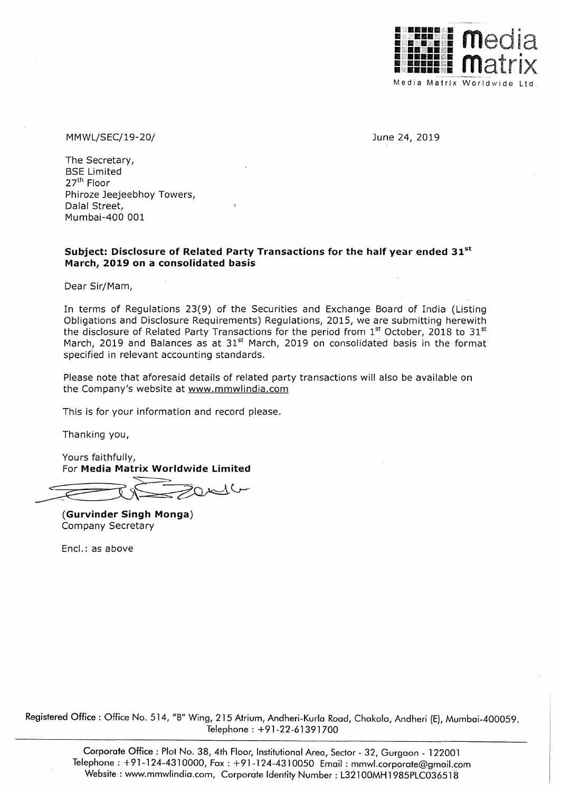

MMWL/SEC/19-20/ June 24, 2019

The Secretary, BSE Limited 27<sup>th</sup> Floor Phiroze Jeejeebhoy Towers, Dalal Street, Mumbai-400 001

#### **Subject: Disclosure of Related Party Transactions for the half year ended** 31st **March, 2019 on a consolidated basis**

Dear Sir/Mam,

In terms of Regulations 23(9) of the Securities and Exchange Board of India (Listing Obligations and Disclosure Requirements) Regulations, 2015, we are submitting herewith the disclosure of Related Party Transactions for the period from  $1<sup>st</sup>$  October, 2018 to 31 $<sup>st</sup>$ </sup> March, 2019 and Balances as at 31<sup>st</sup> March, 2019 on consolidated basis in the format specified in relevant accounting standards.

Please note that aforesaid details of related party transactions will also be available on the Company's website at www.mmwlindia.com

This is for your information and record please.

Thanking you,

Yours faithfully, For **Media Matrix Worldwide Limited** 

**(Gurvinder Singh Monga)**  Company Secretary

Encl.: as above

Registered Office: Office No. 514, "B" Wing, 215 Atrium, Andheri-Kurla Road, Chakala, Andheri (E), Mumbai-400059. Telephone: +91-22-61391700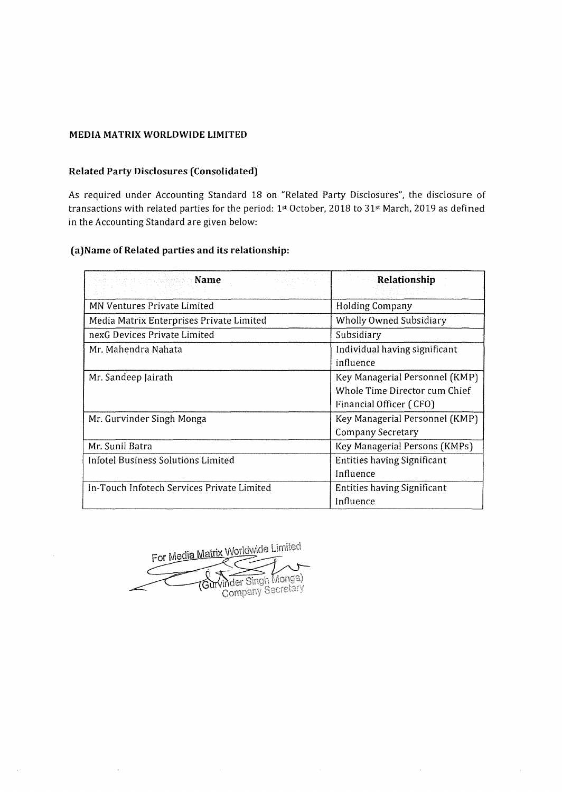#### **MEDIA MATRIX WORLDWIDE LIMITED**

## **Related Party Disclosures (Consolidated)**

As required under Accounting Standard 18 on "Related Party Disclosures", the disclosure of transactions with related parties for the period: 1st October, 2018 to 31st March, 2019 as defined in the Accounting Standard are given below:

## **(a)Name of Related parties and its relationship:**

| Name                                       | Relationship                                                                               |  |
|--------------------------------------------|--------------------------------------------------------------------------------------------|--|
| <b>MN Ventures Private Limited</b>         | Holding Company                                                                            |  |
| Media Matrix Enterprises Private Limited   | <b>Wholly Owned Subsidiary</b>                                                             |  |
| nexG Devices Private Limited               | Subsidiary                                                                                 |  |
| Mr. Mahendra Nahata                        | Individual having significant<br>influence                                                 |  |
| Mr. Sandeep Jairath                        | Key Managerial Personnel (KMP)<br>Whole Time Director cum Chief<br>Financial Officer (CFO) |  |
| Mr. Gurvinder Singh Monga                  | Key Managerial Personnel (KMP)<br><b>Company Secretary</b>                                 |  |
| Mr. Sunil Batra                            | Key Managerial Persons (KMPs)                                                              |  |
| Infotel Business Solutions Limited         | <b>Entities having Significant</b><br>Influence                                            |  |
| In-Touch Infotech Services Private Limited | Entities having Significant<br>Influence                                                   |  |

For Media Matrix Worldwide Limited Vinder Singh Monga)<br>Company Secretary